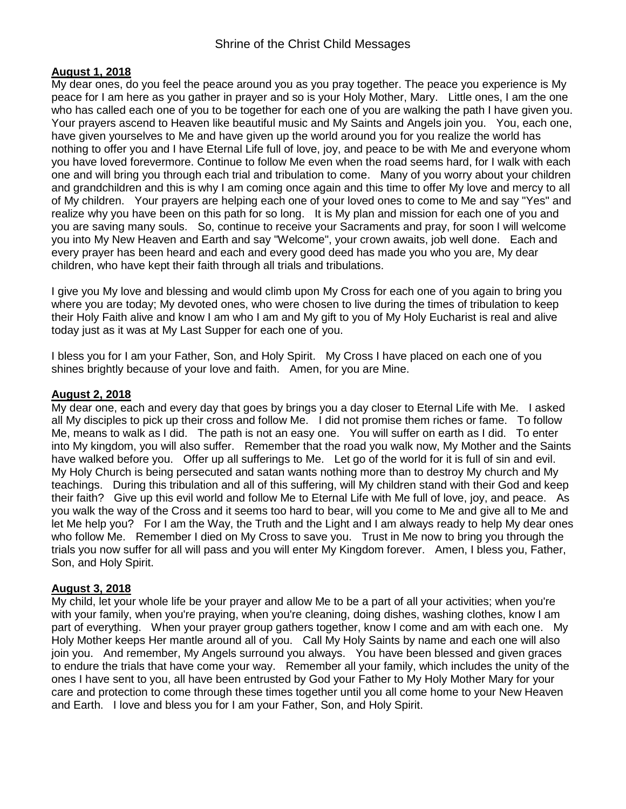## **August 1, 2018**

My dear ones, do you feel the peace around you as you pray together. The peace you experience is My peace for I am here as you gather in prayer and so is your Holy Mother, Mary. Little ones, I am the one who has called each one of you to be together for each one of you are walking the path I have given you. Your prayers ascend to Heaven like beautiful music and My Saints and Angels join you. You, each one, have given yourselves to Me and have given up the world around you for you realize the world has nothing to offer you and I have Eternal Life full of love, joy, and peace to be with Me and everyone whom you have loved forevermore. Continue to follow Me even when the road seems hard, for I walk with each one and will bring you through each trial and tribulation to come. Many of you worry about your children and grandchildren and this is why I am coming once again and this time to offer My love and mercy to all of My children. Your prayers are helping each one of your loved ones to come to Me and say "Yes" and realize why you have been on this path for so long. It is My plan and mission for each one of you and you are saving many souls. So, continue to receive your Sacraments and pray, for soon I will welcome you into My New Heaven and Earth and say "Welcome", your crown awaits, job well done. Each and every prayer has been heard and each and every good deed has made you who you are, My dear children, who have kept their faith through all trials and tribulations.

I give you My love and blessing and would climb upon My Cross for each one of you again to bring you where you are today; My devoted ones, who were chosen to live during the times of tribulation to keep their Holy Faith alive and know I am who I am and My gift to you of My Holy Eucharist is real and alive today just as it was at My Last Supper for each one of you.

I bless you for I am your Father, Son, and Holy Spirit. My Cross I have placed on each one of you shines brightly because of your love and faith. Amen, for you are Mine.

### **August 2, 2018**

My dear one, each and every day that goes by brings you a day closer to Eternal Life with Me. I asked all My disciples to pick up their cross and follow Me. I did not promise them riches or fame. To follow Me, means to walk as I did. The path is not an easy one. You will suffer on earth as I did. To enter into My kingdom, you will also suffer. Remember that the road you walk now, My Mother and the Saints have walked before you. Offer up all sufferings to Me. Let go of the world for it is full of sin and evil. My Holy Church is being persecuted and satan wants nothing more than to destroy My church and My teachings. During this tribulation and all of this suffering, will My children stand with their God and keep their faith? Give up this evil world and follow Me to Eternal Life with Me full of love, joy, and peace. As you walk the way of the Cross and it seems too hard to bear, will you come to Me and give all to Me and let Me help you? For I am the Way, the Truth and the Light and I am always ready to help My dear ones who follow Me. Remember I died on My Cross to save you. Trust in Me now to bring you through the trials you now suffer for all will pass and you will enter My Kingdom forever. Amen, I bless you, Father, Son, and Holy Spirit.

### **August 3, 2018**

My child, let your whole life be your prayer and allow Me to be a part of all your activities; when you're with your family, when you're praying, when you're cleaning, doing dishes, washing clothes, know I am part of everything. When your prayer group gathers together, know I come and am with each one. My Holy Mother keeps Her mantle around all of you. Call My Holy Saints by name and each one will also join you. And remember, My Angels surround you always. You have been blessed and given graces to endure the trials that have come your way. Remember all your family, which includes the unity of the ones I have sent to you, all have been entrusted by God your Father to My Holy Mother Mary for your care and protection to come through these times together until you all come home to your New Heaven and Earth. I love and bless you for I am your Father, Son, and Holy Spirit.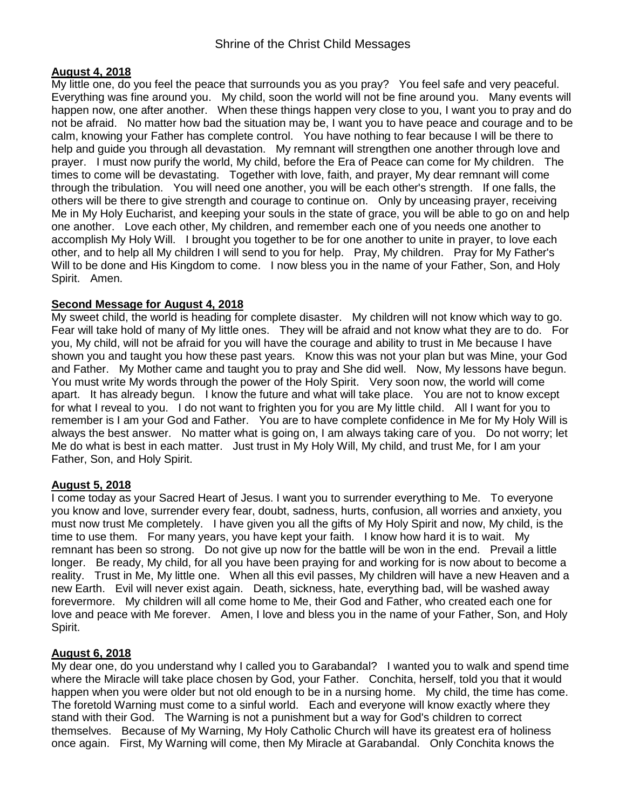## **August 4, 2018**

My little one, do you feel the peace that surrounds you as you pray? You feel safe and very peaceful. Everything was fine around you. My child, soon the world will not be fine around you. Many events will happen now, one after another. When these things happen very close to you, I want you to pray and do not be afraid. No matter how bad the situation may be, I want you to have peace and courage and to be calm, knowing your Father has complete control. You have nothing to fear because I will be there to help and guide you through all devastation. My remnant will strengthen one another through love and prayer. I must now purify the world, My child, before the Era of Peace can come for My children. The times to come will be devastating. Together with love, faith, and prayer, My dear remnant will come through the tribulation. You will need one another, you will be each other's strength. If one falls, the others will be there to give strength and courage to continue on. Only by unceasing prayer, receiving Me in My Holy Eucharist, and keeping your souls in the state of grace, you will be able to go on and help one another. Love each other, My children, and remember each one of you needs one another to accomplish My Holy Will. I brought you together to be for one another to unite in prayer, to love each other, and to help all My children I will send to you for help. Pray, My children. Pray for My Father's Will to be done and His Kingdom to come. I now bless you in the name of your Father, Son, and Holy Spirit. Amen.

## **Second Message for August 4, 2018**

My sweet child, the world is heading for complete disaster. My children will not know which way to go. Fear will take hold of many of My little ones. They will be afraid and not know what they are to do. For you, My child, will not be afraid for you will have the courage and ability to trust in Me because I have shown you and taught you how these past years. Know this was not your plan but was Mine, your God and Father. My Mother came and taught you to pray and She did well. Now, My lessons have begun. You must write My words through the power of the Holy Spirit. Very soon now, the world will come apart. It has already begun. I know the future and what will take place. You are not to know except for what I reveal to you. I do not want to frighten you for you are My little child. All I want for you to remember is I am your God and Father. You are to have complete confidence in Me for My Holy Will is always the best answer. No matter what is going on, I am always taking care of you. Do not worry; let Me do what is best in each matter. Just trust in My Holy Will, My child, and trust Me, for I am your Father, Son, and Holy Spirit.

### **August 5, 2018**

I come today as your Sacred Heart of Jesus. I want you to surrender everything to Me. To everyone you know and love, surrender every fear, doubt, sadness, hurts, confusion, all worries and anxiety, you must now trust Me completely. I have given you all the gifts of My Holy Spirit and now, My child, is the time to use them. For many years, you have kept your faith. I know how hard it is to wait. My remnant has been so strong. Do not give up now for the battle will be won in the end. Prevail a little longer. Be ready, My child, for all you have been praying for and working for is now about to become a reality. Trust in Me, My little one. When all this evil passes, My children will have a new Heaven and a new Earth. Evil will never exist again. Death, sickness, hate, everything bad, will be washed away forevermore. My children will all come home to Me, their God and Father, who created each one for love and peace with Me forever. Amen, I love and bless you in the name of your Father, Son, and Holy Spirit.

### **August 6, 2018**

My dear one, do you understand why I called you to Garabandal? I wanted you to walk and spend time where the Miracle will take place chosen by God, your Father. Conchita, herself, told you that it would happen when you were older but not old enough to be in a nursing home. My child, the time has come. The foretold Warning must come to a sinful world. Each and everyone will know exactly where they stand with their God. The Warning is not a punishment but a way for God's children to correct themselves. Because of My Warning, My Holy Catholic Church will have its greatest era of holiness once again. First, My Warning will come, then My Miracle at Garabandal. Only Conchita knows the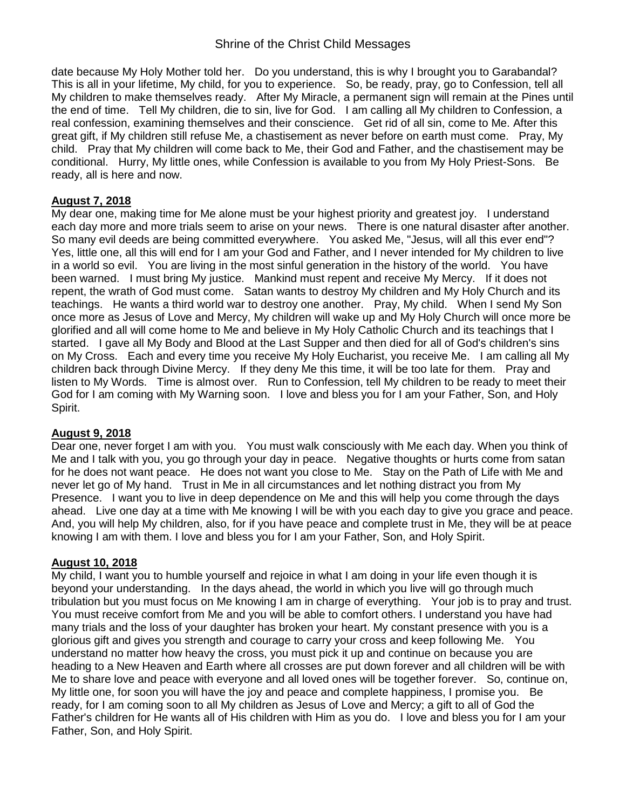# Shrine of the Christ Child Messages

date because My Holy Mother told her. Do you understand, this is why I brought you to Garabandal? This is all in your lifetime, My child, for you to experience. So, be ready, pray, go to Confession, tell all My children to make themselves ready. After My Miracle, a permanent sign will remain at the Pines until the end of time. Tell My children, die to sin, live for God. I am calling all My children to Confession, a real confession, examining themselves and their conscience. Get rid of all sin, come to Me. After this great gift, if My children still refuse Me, a chastisement as never before on earth must come. Pray, My child. Pray that My children will come back to Me, their God and Father, and the chastisement may be conditional. Hurry, My little ones, while Confession is available to you from My Holy Priest-Sons. Be ready, all is here and now.

## **August 7, 2018**

My dear one, making time for Me alone must be your highest priority and greatest joy. I understand each day more and more trials seem to arise on your news. There is one natural disaster after another. So many evil deeds are being committed everywhere. You asked Me, "Jesus, will all this ever end"? Yes, little one, all this will end for I am your God and Father, and I never intended for My children to live in a world so evil. You are living in the most sinful generation in the history of the world. You have been warned. I must bring My justice. Mankind must repent and receive My Mercy. If it does not repent, the wrath of God must come. Satan wants to destroy My children and My Holy Church and its teachings. He wants a third world war to destroy one another. Pray, My child. When I send My Son once more as Jesus of Love and Mercy, My children will wake up and My Holy Church will once more be glorified and all will come home to Me and believe in My Holy Catholic Church and its teachings that I started. I gave all My Body and Blood at the Last Supper and then died for all of God's children's sins on My Cross. Each and every time you receive My Holy Eucharist, you receive Me. I am calling all My children back through Divine Mercy. If they deny Me this time, it will be too late for them. Pray and listen to My Words. Time is almost over. Run to Confession, tell My children to be ready to meet their God for I am coming with My Warning soon. I love and bless you for I am your Father, Son, and Holy Spirit.

### **August 9, 2018**

Dear one, never forget I am with you. You must walk consciously with Me each day. When you think of Me and I talk with you, you go through your day in peace. Negative thoughts or hurts come from satan for he does not want peace. He does not want you close to Me. Stay on the Path of Life with Me and never let go of My hand. Trust in Me in all circumstances and let nothing distract you from My Presence. I want you to live in deep dependence on Me and this will help you come through the days ahead. Live one day at a time with Me knowing I will be with you each day to give you grace and peace. And, you will help My children, also, for if you have peace and complete trust in Me, they will be at peace knowing I am with them. I love and bless you for I am your Father, Son, and Holy Spirit.

### **August 10, 2018**

My child, I want you to humble yourself and rejoice in what I am doing in your life even though it is beyond your understanding. In the days ahead, the world in which you live will go through much tribulation but you must focus on Me knowing I am in charge of everything. Your job is to pray and trust. You must receive comfort from Me and you will be able to comfort others. I understand you have had many trials and the loss of your daughter has broken your heart. My constant presence with you is a glorious gift and gives you strength and courage to carry your cross and keep following Me. You understand no matter how heavy the cross, you must pick it up and continue on because you are heading to a New Heaven and Earth where all crosses are put down forever and all children will be with Me to share love and peace with everyone and all loved ones will be together forever. So, continue on, My little one, for soon you will have the joy and peace and complete happiness, I promise you. Be ready, for I am coming soon to all My children as Jesus of Love and Mercy; a gift to all of God the Father's children for He wants all of His children with Him as you do. I love and bless you for I am your Father, Son, and Holy Spirit.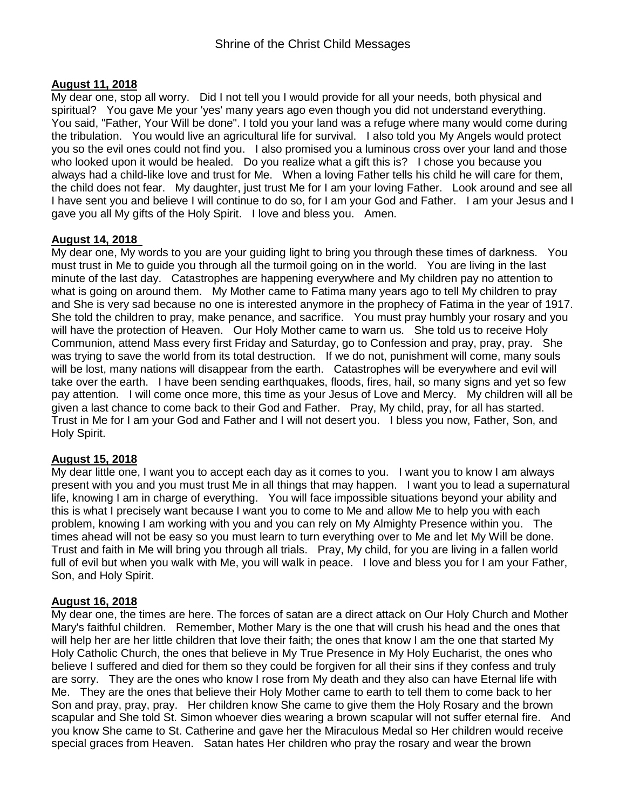## **August 11, 2018**

My dear one, stop all worry. Did I not tell you I would provide for all your needs, both physical and spiritual? You gave Me your 'yes' many years ago even though you did not understand everything. You said, "Father, Your Will be done". I told you your land was a refuge where many would come during the tribulation. You would live an agricultural life for survival. I also told you My Angels would protect you so the evil ones could not find you. I also promised you a luminous cross over your land and those who looked upon it would be healed. Do you realize what a gift this is? I chose you because you always had a child-like love and trust for Me. When a loving Father tells his child he will care for them, the child does not fear. My daughter, just trust Me for I am your loving Father. Look around and see all I have sent you and believe I will continue to do so, for I am your God and Father. I am your Jesus and I gave you all My gifts of the Holy Spirit. I love and bless you. Amen.

### **August 14, 2018**

My dear one, My words to you are your guiding light to bring you through these times of darkness. You must trust in Me to guide you through all the turmoil going on in the world. You are living in the last minute of the last day. Catastrophes are happening everywhere and My children pay no attention to what is going on around them. My Mother came to Fatima many years ago to tell My children to pray and She is very sad because no one is interested anymore in the prophecy of Fatima in the year of 1917. She told the children to pray, make penance, and sacrifice. You must pray humbly your rosary and you will have the protection of Heaven. Our Holy Mother came to warn us. She told us to receive Holy Communion, attend Mass every first Friday and Saturday, go to Confession and pray, pray, pray. She was trying to save the world from its total destruction. If we do not, punishment will come, many souls will be lost, many nations will disappear from the earth. Catastrophes will be everywhere and evil will take over the earth. I have been sending earthquakes, floods, fires, hail, so many signs and yet so few pay attention. I will come once more, this time as your Jesus of Love and Mercy. My children will all be given a last chance to come back to their God and Father. Pray, My child, pray, for all has started. Trust in Me for I am your God and Father and I will not desert you. I bless you now, Father, Son, and Holy Spirit.

### **August 15, 2018**

My dear little one, I want you to accept each day as it comes to you. I want you to know I am always present with you and you must trust Me in all things that may happen. I want you to lead a supernatural life, knowing I am in charge of everything. You will face impossible situations beyond your ability and this is what I precisely want because I want you to come to Me and allow Me to help you with each problem, knowing I am working with you and you can rely on My Almighty Presence within you. The times ahead will not be easy so you must learn to turn everything over to Me and let My Will be done. Trust and faith in Me will bring you through all trials. Pray, My child, for you are living in a fallen world full of evil but when you walk with Me, you will walk in peace. I love and bless you for I am your Father, Son, and Holy Spirit.

### **August 16, 2018**

My dear one, the times are here. The forces of satan are a direct attack on Our Holy Church and Mother Mary's faithful children. Remember, Mother Mary is the one that will crush his head and the ones that will help her are her little children that love their faith; the ones that know I am the one that started My Holy Catholic Church, the ones that believe in My True Presence in My Holy Eucharist, the ones who believe I suffered and died for them so they could be forgiven for all their sins if they confess and truly are sorry. They are the ones who know I rose from My death and they also can have Eternal life with Me. They are the ones that believe their Holy Mother came to earth to tell them to come back to her Son and pray, pray, pray. Her children know She came to give them the Holy Rosary and the brown scapular and She told St. Simon whoever dies wearing a brown scapular will not suffer eternal fire. And you know She came to St. Catherine and gave her the Miraculous Medal so Her children would receive special graces from Heaven. Satan hates Her children who pray the rosary and wear the brown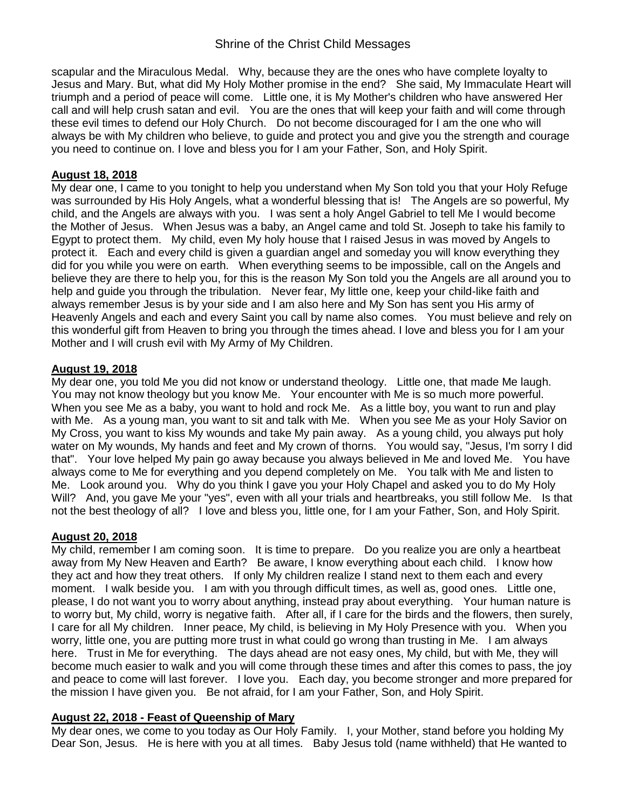# Shrine of the Christ Child Messages

scapular and the Miraculous Medal. Why, because they are the ones who have complete loyalty to Jesus and Mary. But, what did My Holy Mother promise in the end? She said, My Immaculate Heart will triumph and a period of peace will come. Little one, it is My Mother's children who have answered Her call and will help crush satan and evil. You are the ones that will keep your faith and will come through these evil times to defend our Holy Church. Do not become discouraged for I am the one who will always be with My children who believe, to guide and protect you and give you the strength and courage you need to continue on. I love and bless you for I am your Father, Son, and Holy Spirit.

### **August 18, 2018**

My dear one, I came to you tonight to help you understand when My Son told you that your Holy Refuge was surrounded by His Holy Angels, what a wonderful blessing that is! The Angels are so powerful, My child, and the Angels are always with you. I was sent a holy Angel Gabriel to tell Me I would become the Mother of Jesus. When Jesus was a baby, an Angel came and told St. Joseph to take his family to Egypt to protect them. My child, even My holy house that I raised Jesus in was moved by Angels to protect it. Each and every child is given a guardian angel and someday you will know everything they did for you while you were on earth. When everything seems to be impossible, call on the Angels and believe they are there to help you, for this is the reason My Son told you the Angels are all around you to help and guide you through the tribulation. Never fear, My little one, keep your child-like faith and always remember Jesus is by your side and I am also here and My Son has sent you His army of Heavenly Angels and each and every Saint you call by name also comes. You must believe and rely on this wonderful gift from Heaven to bring you through the times ahead. I love and bless you for I am your Mother and I will crush evil with My Army of My Children.

#### **August 19, 2018**

My dear one, you told Me you did not know or understand theology. Little one, that made Me laugh. You may not know theology but you know Me. Your encounter with Me is so much more powerful. When you see Me as a baby, you want to hold and rock Me. As a little boy, you want to run and play with Me. As a young man, you want to sit and talk with Me. When you see Me as your Holy Savior on My Cross, you want to kiss My wounds and take My pain away. As a young child, you always put holy water on My wounds, My hands and feet and My crown of thorns. You would say, "Jesus, I'm sorry I did that". Your love helped My pain go away because you always believed in Me and loved Me. You have always come to Me for everything and you depend completely on Me. You talk with Me and listen to Me. Look around you. Why do you think I gave you your Holy Chapel and asked you to do My Holy Will? And, you gave Me your "yes", even with all your trials and heartbreaks, you still follow Me. Is that not the best theology of all? I love and bless you, little one, for I am your Father, Son, and Holy Spirit.

### **August 20, 2018**

My child, remember I am coming soon. It is time to prepare. Do you realize you are only a heartbeat away from My New Heaven and Earth? Be aware, I know everything about each child. I know how they act and how they treat others. If only My children realize I stand next to them each and every moment. I walk beside you. I am with you through difficult times, as well as, good ones. Little one, please, I do not want you to worry about anything, instead pray about everything. Your human nature is to worry but, My child, worry is negative faith. After all, if I care for the birds and the flowers, then surely, I care for all My children. Inner peace, My child, is believing in My Holy Presence with you. When you worry, little one, you are putting more trust in what could go wrong than trusting in Me. I am always here. Trust in Me for everything. The days ahead are not easy ones, My child, but with Me, they will become much easier to walk and you will come through these times and after this comes to pass, the joy and peace to come will last forever. I love you. Each day, you become stronger and more prepared for the mission I have given you. Be not afraid, for I am your Father, Son, and Holy Spirit.

### **August 22, 2018 - Feast of Queenship of Mary**

My dear ones, we come to you today as Our Holy Family. I, your Mother, stand before you holding My Dear Son, Jesus. He is here with you at all times. Baby Jesus told (name withheld) that He wanted to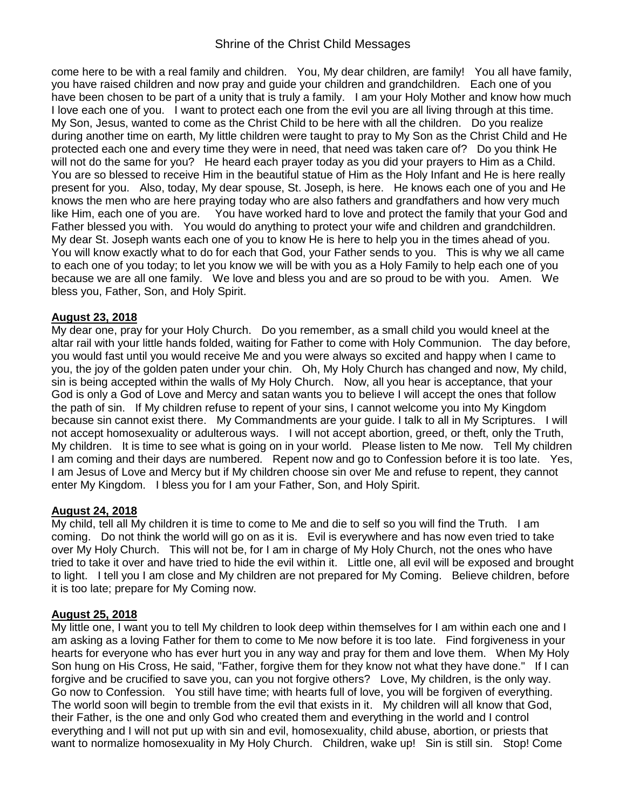# Shrine of the Christ Child Messages

come here to be with a real family and children. You, My dear children, are family! You all have family, you have raised children and now pray and guide your children and grandchildren. Each one of you have been chosen to be part of a unity that is truly a family. I am your Holy Mother and know how much I love each one of you. I want to protect each one from the evil you are all living through at this time. My Son, Jesus, wanted to come as the Christ Child to be here with all the children. Do you realize during another time on earth, My little children were taught to pray to My Son as the Christ Child and He protected each one and every time they were in need, that need was taken care of? Do you think He will not do the same for you? He heard each prayer today as you did your prayers to Him as a Child. You are so blessed to receive Him in the beautiful statue of Him as the Holy Infant and He is here really present for you. Also, today, My dear spouse, St. Joseph, is here. He knows each one of you and He knows the men who are here praying today who are also fathers and grandfathers and how very much like Him, each one of you are. You have worked hard to love and protect the family that your God and Father blessed you with. You would do anything to protect your wife and children and grandchildren. My dear St. Joseph wants each one of you to know He is here to help you in the times ahead of you. You will know exactly what to do for each that God, your Father sends to you. This is why we all came to each one of you today; to let you know we will be with you as a Holy Family to help each one of you because we are all one family. We love and bless you and are so proud to be with you. Amen. We bless you, Father, Son, and Holy Spirit.

## **August 23, 2018**

My dear one, pray for your Holy Church. Do you remember, as a small child you would kneel at the altar rail with your little hands folded, waiting for Father to come with Holy Communion. The day before, you would fast until you would receive Me and you were always so excited and happy when I came to you, the joy of the golden paten under your chin. Oh, My Holy Church has changed and now, My child, sin is being accepted within the walls of My Holy Church. Now, all you hear is acceptance, that your God is only a God of Love and Mercy and satan wants you to believe I will accept the ones that follow the path of sin. If My children refuse to repent of your sins, I cannot welcome you into My Kingdom because sin cannot exist there. My Commandments are your guide. I talk to all in My Scriptures. I will not accept homosexuality or adulterous ways. I will not accept abortion, greed, or theft, only the Truth, My children. It is time to see what is going on in your world. Please listen to Me now. Tell My children I am coming and their days are numbered. Repent now and go to Confession before it is too late. Yes, I am Jesus of Love and Mercy but if My children choose sin over Me and refuse to repent, they cannot enter My Kingdom. I bless you for I am your Father, Son, and Holy Spirit.

### **August 24, 2018**

My child, tell all My children it is time to come to Me and die to self so you will find the Truth. I am coming. Do not think the world will go on as it is. Evil is everywhere and has now even tried to take over My Holy Church. This will not be, for I am in charge of My Holy Church, not the ones who have tried to take it over and have tried to hide the evil within it. Little one, all evil will be exposed and brought to light. I tell you I am close and My children are not prepared for My Coming. Believe children, before it is too late; prepare for My Coming now.

### **August 25, 2018**

My little one, I want you to tell My children to look deep within themselves for I am within each one and I am asking as a loving Father for them to come to Me now before it is too late. Find forgiveness in your hearts for everyone who has ever hurt you in any way and pray for them and love them. When My Holy Son hung on His Cross, He said, "Father, forgive them for they know not what they have done." If I can forgive and be crucified to save you, can you not forgive others? Love, My children, is the only way. Go now to Confession. You still have time; with hearts full of love, you will be forgiven of everything. The world soon will begin to tremble from the evil that exists in it. My children will all know that God, their Father, is the one and only God who created them and everything in the world and I control everything and I will not put up with sin and evil, homosexuality, child abuse, abortion, or priests that want to normalize homosexuality in My Holy Church. Children, wake up! Sin is still sin. Stop! Come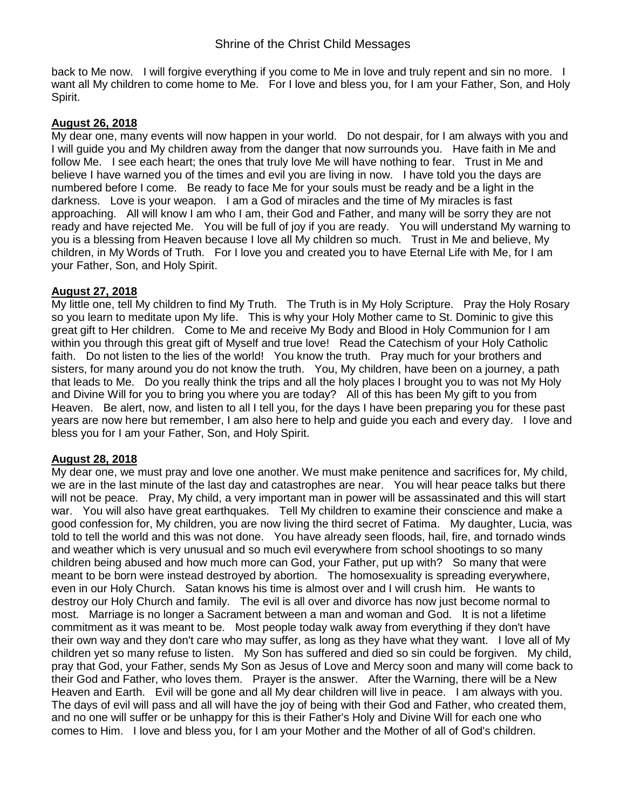back to Me now. I will forgive everything if you come to Me in love and truly repent and sin no more. I want all My children to come home to Me. For I love and bless you, for I am your Father, Son, and Holy Spirit.

### **August 26, 2018**

My dear one, many events will now happen in your world. Do not despair, for I am always with you and I will guide you and My children away from the danger that now surrounds you. Have faith in Me and follow Me. I see each heart; the ones that truly love Me will have nothing to fear. Trust in Me and believe I have warned you of the times and evil you are living in now. I have told you the days are numbered before I come. Be ready to face Me for your souls must be ready and be a light in the darkness. Love is your weapon. I am a God of miracles and the time of My miracles is fast approaching. All will know I am who I am, their God and Father, and many will be sorry they are not ready and have rejected Me. You will be full of joy if you are ready. You will understand My warning to you is a blessing from Heaven because I love all My children so much. Trust in Me and believe, My children, in My Words of Truth. For I love you and created you to have Eternal Life with Me, for I am your Father, Son, and Holy Spirit.

#### **August 27, 2018**

My little one, tell My children to find My Truth. The Truth is in My Holy Scripture. Pray the Holy Rosary so you learn to meditate upon My life. This is why your Holy Mother came to St. Dominic to give this great gift to Her children. Come to Me and receive My Body and Blood in Holy Communion for I am within you through this great gift of Myself and true love! Read the Catechism of your Holy Catholic faith. Do not listen to the lies of the world! You know the truth. Pray much for your brothers and sisters, for many around you do not know the truth. You, My children, have been on a journey, a path that leads to Me. Do you really think the trips and all the holy places I brought you to was not My Holy and Divine Will for you to bring you where you are today? All of this has been My gift to you from Heaven. Be alert, now, and listen to all I tell you, for the days I have been preparing you for these past years are now here but remember, I am also here to help and guide you each and every day. I love and bless you for I am your Father, Son, and Holy Spirit.

### **August 28, 2018**

My dear one, we must pray and love one another. We must make penitence and sacrifices for, My child, we are in the last minute of the last day and catastrophes are near. You will hear peace talks but there will not be peace. Pray, My child, a very important man in power will be assassinated and this will start war. You will also have great earthquakes. Tell My children to examine their conscience and make a good confession for, My children, you are now living the third secret of Fatima. My daughter, Lucia, was told to tell the world and this was not done. You have already seen floods, hail, fire, and tornado winds and weather which is very unusual and so much evil everywhere from school shootings to so many children being abused and how much more can God, your Father, put up with? So many that were meant to be born were instead destroyed by abortion. The homosexuality is spreading everywhere, even in our Holy Church. Satan knows his time is almost over and I will crush him. He wants to destroy our Holy Church and family. The evil is all over and divorce has now just become normal to most. Marriage is no longer a Sacrament between a man and woman and God. It is not a lifetime commitment as it was meant to be. Most people today walk away from everything if they don't have their own way and they don't care who may suffer, as long as they have what they want. I love all of My children yet so many refuse to listen. My Son has suffered and died so sin could be forgiven. My child, pray that God, your Father, sends My Son as Jesus of Love and Mercy soon and many will come back to their God and Father, who loves them. Prayer is the answer. After the Warning, there will be a New Heaven and Earth. Evil will be gone and all My dear children will live in peace. I am always with you. The days of evil will pass and all will have the joy of being with their God and Father, who created them, and no one will suffer or be unhappy for this is their Father's Holy and Divine Will for each one who comes to Him. I love and bless you, for I am your Mother and the Mother of all of God's children.